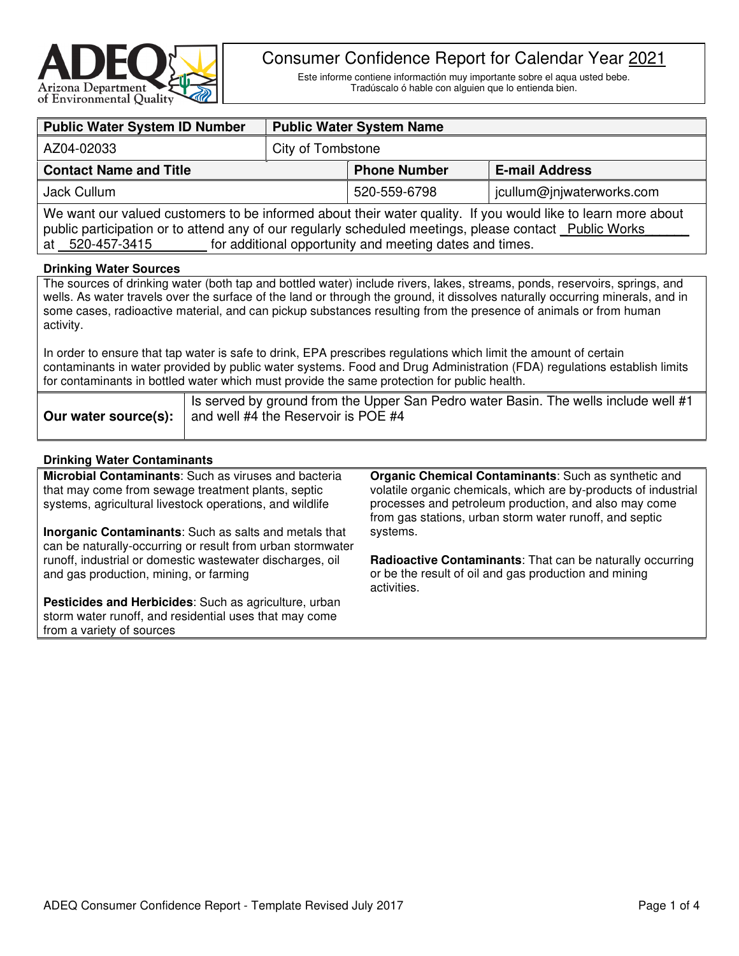

# Consumer Confidence Report for Calendar Year 2021

Este informe contiene informactión muy importante sobre el aqua usted bebe. Tradúscalo ó hable con alguien que lo entienda bien.

| <b>Public Water System ID Number</b>                                                                                                                                                                                                                                                                                                                                                         | <b>Public Water System Name</b> |                     |                           |  |  |  |
|----------------------------------------------------------------------------------------------------------------------------------------------------------------------------------------------------------------------------------------------------------------------------------------------------------------------------------------------------------------------------------------------|---------------------------------|---------------------|---------------------------|--|--|--|
| AZ04-02033                                                                                                                                                                                                                                                                                                                                                                                   | City of Tombstone               |                     |                           |  |  |  |
| <b>Contact Name and Title</b>                                                                                                                                                                                                                                                                                                                                                                |                                 | <b>Phone Number</b> | <b>E-mail Address</b>     |  |  |  |
| Jack Cullum                                                                                                                                                                                                                                                                                                                                                                                  |                                 | 520-559-6798        | jcullum@jnjwaterworks.com |  |  |  |
| We want our valued customers to be informed about their water quality. If you would like to learn more about<br>public participation or to attend any of our regularly scheduled meetings, please contact Public Works<br>for additional opportunity and meeting dates and times.<br>at 520-457-3415                                                                                         |                                 |                     |                           |  |  |  |
| <b>Drinking Water Sources</b>                                                                                                                                                                                                                                                                                                                                                                |                                 |                     |                           |  |  |  |
| The sources of drinking water (both tap and bottled water) include rivers, lakes, streams, ponds, reservoirs, springs, and<br>wells. As water travels over the surface of the land or through the ground, it dissolves naturally occurring minerals, and in<br>some cases, radioactive material, and can pickup substances resulting from the presence of animals or from human<br>activity. |                                 |                     |                           |  |  |  |

In order to ensure that tap water is safe to drink, EPA prescribes regulations which limit the amount of certain contaminants in water provided by public water systems. Food and Drug Administration (FDA) regulations establish limits for contaminants in bottled water which must provide the same protection for public health.

| I Is served by ground from the Upper San Pedro water Basin. The wells include well #1 |
|---------------------------------------------------------------------------------------|
| <b>Our water source(s):</b> $\vert$ and well #4 the Reservoir is POE #4               |

# **Drinking Water Contaminants**

**Microbial Contaminants**: Such as viruses and bacteria that may come from sewage treatment plants, septic systems, agricultural livestock operations, and wildlife **Inorganic Contaminants**: Such as salts and metals that can be naturally-occurring or result from urban stormwater runoff, industrial or domestic wastewater discharges, oil and gas production, mining, or farming **Pesticides and Herbicides**: Such as agriculture, urban storm water runoff, and residential uses that may come from a variety of sources **Organic Chemical Contaminants**: Such as synthetic and volatile organic chemicals, which are by-products of industrial processes and petroleum production, and also may come from gas stations, urban storm water runoff, and septic systems. **Radioactive Contaminants**: That can be naturally occurring or be the result of oil and gas production and mining activities.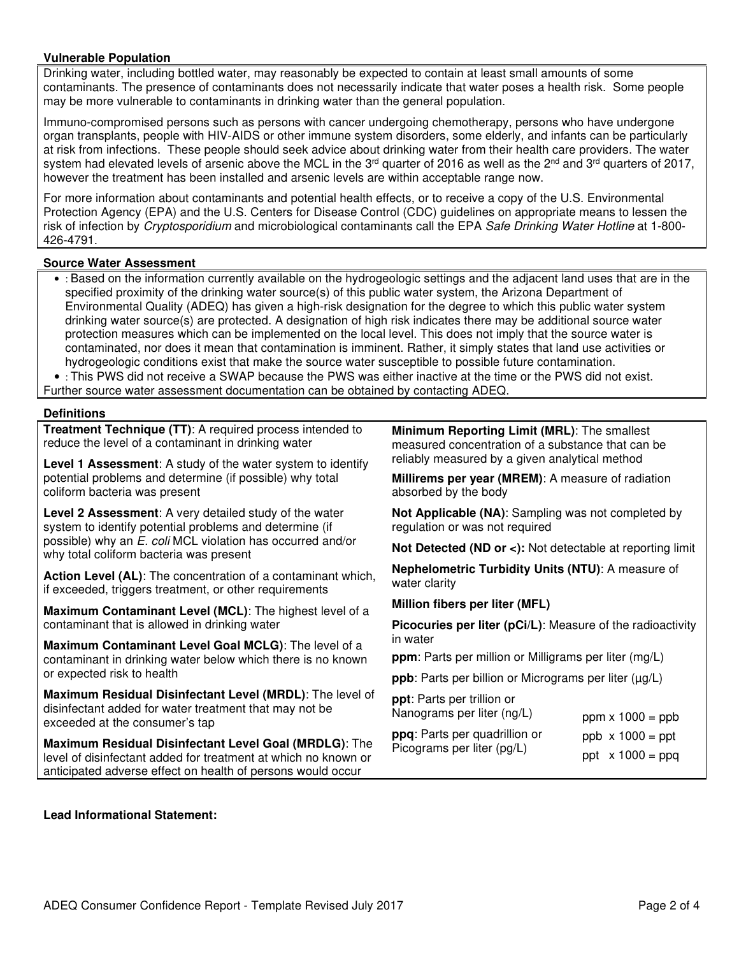# **Vulnerable Population**

Drinking water, including bottled water, may reasonably be expected to contain at least small amounts of some contaminants. The presence of contaminants does not necessarily indicate that water poses a health risk. Some people may be more vulnerable to contaminants in drinking water than the general population.

Immuno-compromised persons such as persons with cancer undergoing chemotherapy, persons who have undergone organ transplants, people with HIV-AIDS or other immune system disorders, some elderly, and infants can be particularly at risk from infections. These people should seek advice about drinking water from their health care providers. The water system had elevated levels of arsenic above the MCL in the  $3<sup>rd</sup>$  quarter of 2016 as well as the  $2<sup>nd</sup>$  and  $3<sup>rd</sup>$  quarters of 2017, however the treatment has been installed and arsenic levels are within acceptable range now.

For more information about contaminants and potential health effects, or to receive a copy of the U.S. Environmental Protection Agency (EPA) and the U.S. Centers for Disease Control (CDC) guidelines on appropriate means to lessen the risk of infection by Cryptosporidium and microbiological contaminants call the EPA Safe Drinking Water Hotline at 1-800-426-4791.

# **Source Water Assessment**

• : Based on the information currently available on the hydrogeologic settings and the adjacent land uses that are in the specified proximity of the drinking water source(s) of this public water system, the Arizona Department of Environmental Quality (ADEQ) has given a high-risk designation for the degree to which this public water system drinking water source(s) are protected. A designation of high risk indicates there may be additional source water protection measures which can be implemented on the local level. This does not imply that the source water is contaminated, nor does it mean that contamination is imminent. Rather, it simply states that land use activities or hydrogeologic conditions exist that make the source water susceptible to possible future contamination.

• : This PWS did not receive a SWAP because the PWS was either inactive at the time or the PWS did not exist.

Further source water assessment documentation can be obtained by contacting ADEQ.

#### **Definitions**

**Treatment Technique (TT)**: A required process intended to reduce the level of a contaminant in drinking water

**Level 1 Assessment**: A study of the water system to identify potential problems and determine (if possible) why total coliform bacteria was present

**Level 2 Assessment**: A very detailed study of the water system to identify potential problems and determine (if possible) why an E. coli MCL violation has occurred and/or why total coliform bacteria was present

**Action Level (AL)**: The concentration of a contaminant which, if exceeded, triggers treatment, or other requirements

**Maximum Contaminant Level (MCL)**: The highest level of a contaminant that is allowed in drinking water

**Maximum Contaminant Level Goal MCLG)**: The level of a contaminant in drinking water below which there is no known or expected risk to health

**Maximum Residual Disinfectant Level (MRDL)**: The level of disinfectant added for water treatment that may not be exceeded at the consumer's tap

**Maximum Residual Disinfectant Level Goal (MRDLG)**: The level of disinfectant added for treatment at which no known or anticipated adverse effect on health of persons would occur

**Minimum Reporting Limit (MRL)**: The smallest measured concentration of a substance that can be reliably measured by a given analytical method

**Millirems per year (MREM)**: A measure of radiation absorbed by the body

**Not Applicable (NA)**: Sampling was not completed by regulation or was not required

**Not Detected (ND or <):** Not detectable at reporting limit

**Nephelometric Turbidity Units (NTU)**: A measure of water clarity

**Million fibers per liter (MFL)** 

**Picocuries per liter (pCi/L)**: Measure of the radioactivity in water

**ppm**: Parts per million or Milligrams per liter (mg/L)

**ppb**: Parts per billion or Micrograms per liter ( $\mu$ g/L)

**ppt**: Parts per trillion or Nanograms per liter (ng/L)

**ppq**: Parts per quadrillion or Picograms per liter (pg/L)

ppm  $x$  1000 = ppb

ppb  $x 1000 = ppt$ 

ppt  $x 1000 = ppq$ 

#### **Lead Informational Statement:**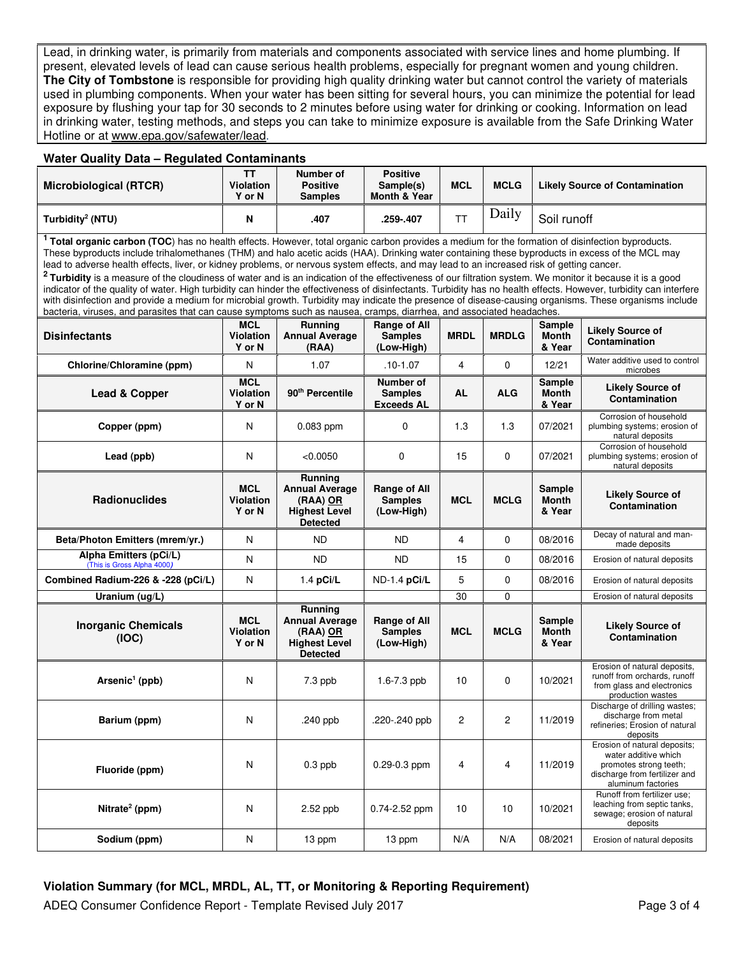Lead, in drinking water, is primarily from materials and components associated with service lines and home plumbing. If present, elevated levels of lead can cause serious health problems, especially for pregnant women and young children. **The City of Tombstone** is responsible for providing high quality drinking water but cannot control the variety of materials used in plumbing components. When your water has been sitting for several hours, you can minimize the potential for lead exposure by flushing your tap for 30 seconds to 2 minutes before using water for drinking or cooking. Information on lead in drinking water, testing methods, and steps you can take to minimize exposure is available from the Safe Drinking Water Hotline or at www.epa.gov/safewater/lead.

#### **Water Quality Data – Regulated Contaminants**

| Microbiological (RTCR)       | <b>Violation</b><br><b>Y</b> or N | Number of<br><b>Positive</b><br><b>Samples</b> | <b>Positive</b><br>Sample(s)<br><b>Month &amp; Year</b> | <b>MCL</b> | <b>MCLG</b> | <b>Likely Source of Contamination</b> |
|------------------------------|-----------------------------------|------------------------------------------------|---------------------------------------------------------|------------|-------------|---------------------------------------|
| Turbidity <sup>2</sup> (NTU) | N                                 | .407                                           | .259-.407                                               | ᅲ          | Daily       | Soil runoff                           |

**<sup>1</sup> Total organic carbon (TOC**) has no health effects. However, total organic carbon provides a medium for the formation of disinfection byproducts. These byproducts include trihalomethanes (THM) and halo acetic acids (HAA). Drinking water containing these byproducts in excess of the MCL may lead to adverse health effects, liver, or kidney problems, or nervous system effects, and may lead to an increased risk of getting cancer.

**<sup>2</sup>Turbidity** is a measure of the cloudiness of water and is an indication of the effectiveness of our filtration system. We monitor it because it is a good indicator of the quality of water. High turbidity can hinder the effectiveness of disinfectants. Turbidity has no health effects. However, turbidity can interfere with disinfection and provide a medium for microbial growth. Turbidity may indicate the presence of disease-causing organisms. These organisms include bacteria, viruses, and parasites that can cause symptoms such as nausea, cramps, diarrhea, and associated headaches.

| <b>Disinfectants</b>                                 | <b>MCL</b><br><b>Violation</b><br>Y or N | Running<br><b>Annual Average</b><br>(RAA)                                                        | Range of All<br><b>Samples</b><br>(Low-High)        | <b>MRDL</b>             | <b>MRDLG</b>   | Sample<br><b>Month</b><br>& Year        | <b>Likely Source of</b><br>Contamination                                                                                              |
|------------------------------------------------------|------------------------------------------|--------------------------------------------------------------------------------------------------|-----------------------------------------------------|-------------------------|----------------|-----------------------------------------|---------------------------------------------------------------------------------------------------------------------------------------|
| Chlorine/Chloramine (ppm)                            | N                                        | 1.07                                                                                             | $.10 - 1.07$                                        | $\overline{\mathbf{4}}$ | $\Omega$       | 12/21                                   | Water additive used to control<br>microbes                                                                                            |
| Lead & Copper                                        | <b>MCL</b><br><b>Violation</b><br>Y or N | 90 <sup>th</sup> Percentile                                                                      | Number of<br><b>Samples</b><br><b>Exceeds AL</b>    | <b>AL</b>               | <b>ALG</b>     | <b>Sample</b><br><b>Month</b><br>& Year | <b>Likely Source of</b><br>Contamination                                                                                              |
| Copper (ppm)                                         | N                                        | 0.083 ppm                                                                                        | 0                                                   | 1.3                     | 1.3            | 07/2021                                 | Corrosion of household<br>plumbing systems; erosion of<br>natural deposits                                                            |
| Lead (ppb)                                           | N                                        | < 0.0050                                                                                         | $\Omega$                                            | 15                      | $\Omega$       | 07/2021                                 | Corrosion of household<br>plumbing systems; erosion of<br>natural deposits                                                            |
| <b>Radionuclides</b>                                 | <b>MCL</b><br><b>Violation</b><br>Y or N | <b>Running</b><br><b>Annual Average</b><br>$(RAA)$ OR<br><b>Highest Level</b><br><b>Detected</b> | <b>Range of All</b><br><b>Samples</b><br>(Low-High) | <b>MCL</b>              | <b>MCLG</b>    | <b>Sample</b><br><b>Month</b><br>& Year | <b>Likely Source of</b><br>Contamination                                                                                              |
| Beta/Photon Emitters (mrem/yr.)                      | N                                        | <b>ND</b>                                                                                        | <b>ND</b>                                           | 4                       | $\mathbf 0$    | 08/2016                                 | Decay of natural and man-<br>made deposits                                                                                            |
| Alpha Emitters (pCi/L)<br>(This is Gross Alpha 4000) | N                                        | <b>ND</b>                                                                                        | <b>ND</b>                                           | 15                      | $\Omega$       | 08/2016                                 | Erosion of natural deposits                                                                                                           |
| Combined Radium-226 & -228 (pCi/L)                   | N                                        | $1.4$ pCi/L                                                                                      | ND-1.4 pCi/L                                        | 5                       | $\Omega$       | 08/2016                                 | Erosion of natural deposits                                                                                                           |
| Uranium (ug/L)                                       |                                          |                                                                                                  |                                                     | 30                      | $\Omega$       |                                         | Erosion of natural deposits                                                                                                           |
| <b>Inorganic Chemicals</b><br>(IOC)                  | <b>MCL</b><br><b>Violation</b><br>Y or N | Running<br><b>Annual Average</b><br>(RAA) OR<br><b>Highest Level</b><br><b>Detected</b>          | <b>Range of All</b><br><b>Samples</b><br>(Low-High) | <b>MCL</b>              | <b>MCLG</b>    | <b>Sample</b><br><b>Month</b><br>& Year | <b>Likely Source of</b><br>Contamination                                                                                              |
| Arsenic <sup>1</sup> (ppb)                           | N                                        | $7.3$ ppb                                                                                        | $1.6 - 7.3$ ppb                                     | 10                      | $\Omega$       | 10/2021                                 | Erosion of natural deposits,<br>runoff from orchards, runoff<br>from glass and electronics<br>production wastes                       |
| Barium (ppm)                                         | N                                        | .240 $p$                                                                                         | .220-.240 ppb                                       | 2                       | $\overline{2}$ | 11/2019                                 | Discharge of drilling wastes;<br>discharge from metal<br>refineries; Erosion of natural<br>deposits                                   |
| Fluoride (ppm)                                       | N                                        | $0.3$ ppb                                                                                        | $0.29 - 0.3$ ppm                                    | 4                       | $\overline{4}$ | 11/2019                                 | Erosion of natural deposits;<br>water additive which<br>promotes strong teeth;<br>discharge from fertilizer and<br>aluminum factories |
| Nitrate <sup>2</sup> (ppm)                           | N                                        | $2.52$ ppb                                                                                       | 0.74-2.52 ppm                                       | 10                      | 10             | 10/2021                                 | Runoff from fertilizer use:<br>leaching from septic tanks,<br>sewage; erosion of natural<br>deposits                                  |
| Sodium (ppm)                                         | N                                        | 13 ppm                                                                                           | 13 ppm                                              | N/A                     | N/A            | 08/2021                                 | Erosion of natural deposits                                                                                                           |

# **Violation Summary (for MCL, MRDL, AL, TT, or Monitoring & Reporting Requirement)**

ADEQ Consumer Confidence Report - Template Revised July 2017 **Page 3 of 4** Page 3 of 4